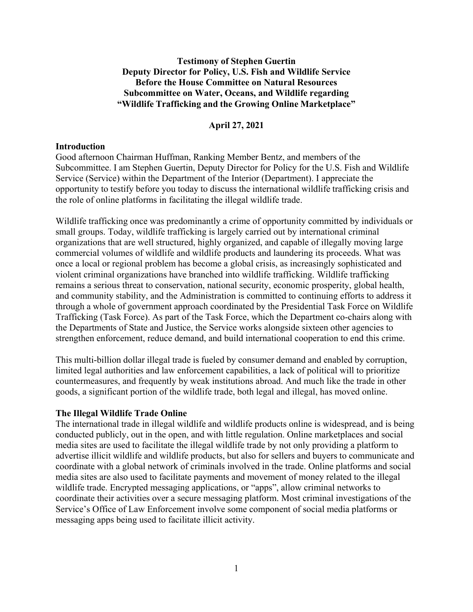**Testimony of Stephen Guertin Deputy Director for Policy, U.S. Fish and Wildlife Service Before the House Committee on Natural Resources Subcommittee on Water, Oceans, and Wildlife regarding "Wildlife Trafficking and the Growing Online Marketplace"**

**April 27, 2021**

## **Introduction**

Good afternoon Chairman Huffman, Ranking Member Bentz, and members of the Subcommittee. I am Stephen Guertin, Deputy Director for Policy for the U.S. Fish and Wildlife Service (Service) within the Department of the Interior (Department). I appreciate the opportunity to testify before you today to discuss the international wildlife trafficking crisis and the role of online platforms in facilitating the illegal wildlife trade.

Wildlife trafficking once was predominantly a crime of opportunity committed by individuals or small groups. Today, wildlife trafficking is largely carried out by international criminal organizations that are well structured, highly organized, and capable of illegally moving large commercial volumes of wildlife and wildlife products and laundering its proceeds. What was once a local or regional problem has become a global crisis, as increasingly sophisticated and violent criminal organizations have branched into wildlife trafficking. Wildlife trafficking remains a serious threat to conservation, national security, economic prosperity, global health, and community stability, and the Administration is committed to continuing efforts to address it through a whole of government approach coordinated by the Presidential Task Force on Wildlife Trafficking (Task Force). As part of the Task Force, which the Department co-chairs along with the Departments of State and Justice, the Service works alongside sixteen other agencies to strengthen enforcement, reduce demand, and build international cooperation to end this crime.

This multi-billion dollar illegal trade is fueled by consumer demand and enabled by corruption, limited legal authorities and law enforcement capabilities, a lack of political will to prioritize countermeasures, and frequently by weak institutions abroad. And much like the trade in other goods, a significant portion of the wildlife trade, both legal and illegal, has moved online.

## **The Illegal Wildlife Trade Online**

The international trade in illegal wildlife and wildlife products online is widespread, and is being conducted publicly, out in the open, and with little regulation. Online marketplaces and social media sites are used to facilitate the illegal wildlife trade by not only providing a platform to advertise illicit wildlife and wildlife products, but also for sellers and buyers to communicate and coordinate with a global network of criminals involved in the trade. Online platforms and social media sites are also used to facilitate payments and movement of money related to the illegal wildlife trade. Encrypted messaging applications, or "apps", allow criminal networks to coordinate their activities over a secure messaging platform. Most criminal investigations of the Service's Office of Law Enforcement involve some component of social media platforms or messaging apps being used to facilitate illicit activity.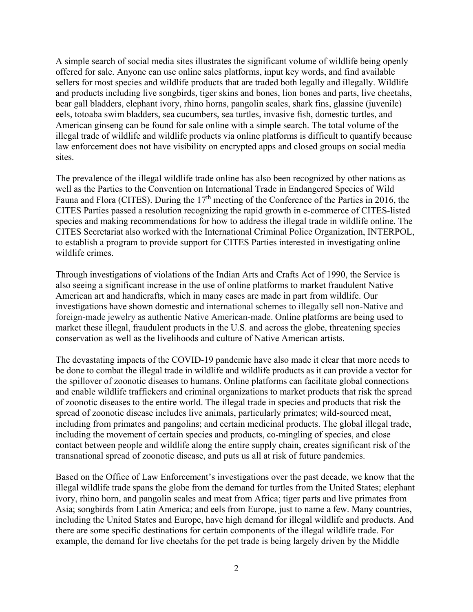A simple search of social media sites illustrates the significant volume of wildlife being openly offered for sale. Anyone can use online sales platforms, input key words, and find available sellers for most species and wildlife products that are traded both legally and illegally. Wildlife and products including live songbirds, tiger skins and bones, lion bones and parts, live cheetahs, bear gall bladders, elephant ivory, rhino horns, pangolin scales, shark fins, glassine (juvenile) eels, totoaba swim bladders, sea cucumbers, sea turtles, invasive fish, domestic turtles, and American ginseng can be found for sale online with a simple search. The total volume of the illegal trade of wildlife and wildlife products via online platforms is difficult to quantify because law enforcement does not have visibility on encrypted apps and closed groups on social media sites.

The prevalence of the illegal wildlife trade online has also been recognized by other nations as well as the Parties to the Convention on International Trade in Endangered Species of Wild Fauna and Flora (CITES). During the 17<sup>th</sup> meeting of the Conference of the Parties in 2016, the CITES Parties passed a resolution recognizing the rapid growth in e-commerce of CITES-listed species and making recommendations for how to address the illegal trade in wildlife online. The CITES Secretariat also worked with the International Criminal Police Organization, INTERPOL, to establish a program to provide support for CITES Parties interested in investigating online wildlife crimes.

Through investigations of violations of the Indian Arts and Crafts Act of 1990, the Service is also seeing a significant increase in the use of online platforms to market fraudulent Native American art and handicrafts, which in many cases are made in part from wildlife. Our investigations have shown domestic and international schemes to illegally sell non-Native and foreign-made jewelry as authentic Native American-made. Online platforms are being used to market these illegal, fraudulent products in the U.S. and across the globe, threatening species conservation as well as the livelihoods and culture of Native American artists.

The devastating impacts of the COVID-19 pandemic have also made it clear that more needs to be done to combat the illegal trade in wildlife and wildlife products as it can provide a vector for the spillover of zoonotic diseases to humans. Online platforms can facilitate global connections and enable wildlife traffickers and criminal organizations to market products that risk the spread of zoonotic diseases to the entire world. The illegal trade in species and products that risk the spread of zoonotic disease includes live animals, particularly primates; wild-sourced meat, including from primates and pangolins; and certain medicinal products. The global illegal trade, including the movement of certain species and products, co-mingling of species, and close contact between people and wildlife along the entire supply chain, creates significant risk of the transnational spread of zoonotic disease, and puts us all at risk of future pandemics.

Based on the Office of Law Enforcement's investigations over the past decade, we know that the illegal wildlife trade spans the globe from the demand for turtles from the United States; elephant ivory, rhino horn, and pangolin scales and meat from Africa; tiger parts and live primates from Asia; songbirds from Latin America; and eels from Europe, just to name a few. Many countries, including the United States and Europe, have high demand for illegal wildlife and products. And there are some specific destinations for certain components of the illegal wildlife trade. For example, the demand for live cheetahs for the pet trade is being largely driven by the Middle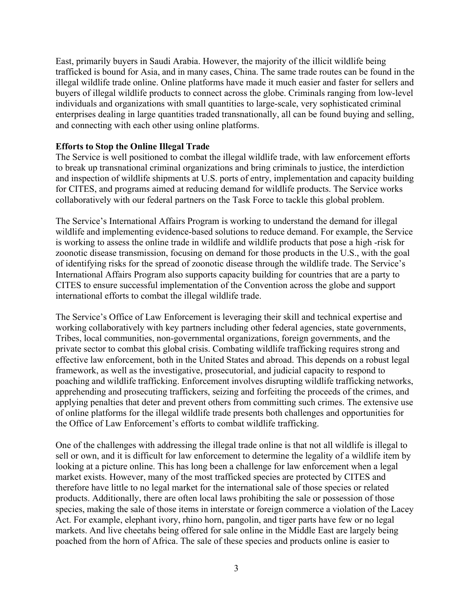East, primarily buyers in Saudi Arabia. However, the majority of the illicit wildlife being trafficked is bound for Asia, and in many cases, China. The same trade routes can be found in the illegal wildlife trade online. Online platforms have made it much easier and faster for sellers and buyers of illegal wildlife products to connect across the globe. Criminals ranging from low-level individuals and organizations with small quantities to large-scale, very sophisticated criminal enterprises dealing in large quantities traded transnationally, all can be found buying and selling, and connecting with each other using online platforms.

## **Efforts to Stop the Online Illegal Trade**

The Service is well positioned to combat the illegal wildlife trade, with law enforcement efforts to break up transnational criminal organizations and bring criminals to justice, the interdiction and inspection of wildlife shipments at U.S. ports of entry, implementation and capacity building for CITES, and programs aimed at reducing demand for wildlife products. The Service works collaboratively with our federal partners on the Task Force to tackle this global problem.

The Service's International Affairs Program is working to understand the demand for illegal wildlife and implementing evidence-based solutions to reduce demand. For example, the Service is working to assess the online trade in wildlife and wildlife products that pose a high -risk for zoonotic disease transmission, focusing on demand for those products in the U.S., with the goal of identifying risks for the spread of zoonotic disease through the wildlife trade. The Service's International Affairs Program also supports capacity building for countries that are a party to CITES to ensure successful implementation of the Convention across the globe and support international efforts to combat the illegal wildlife trade.

The Service's Office of Law Enforcement is leveraging their skill and technical expertise and working collaboratively with key partners including other federal agencies, state governments, Tribes, local communities, non-governmental organizations, foreign governments, and the private sector to combat this global crisis. Combating wildlife trafficking requires strong and effective law enforcement, both in the United States and abroad. This depends on a robust legal framework, as well as the investigative, prosecutorial, and judicial capacity to respond to poaching and wildlife trafficking. Enforcement involves disrupting wildlife trafficking networks, apprehending and prosecuting traffickers, seizing and forfeiting the proceeds of the crimes, and applying penalties that deter and prevent others from committing such crimes. The extensive use of online platforms for the illegal wildlife trade presents both challenges and opportunities for the Office of Law Enforcement's efforts to combat wildlife trafficking.

One of the challenges with addressing the illegal trade online is that not all wildlife is illegal to sell or own, and it is difficult for law enforcement to determine the legality of a wildlife item by looking at a picture online. This has long been a challenge for law enforcement when a legal market exists. However, many of the most trafficked species are protected by CITES and therefore have little to no legal market for the international sale of those species or related products. Additionally, there are often local laws prohibiting the sale or possession of those species, making the sale of those items in interstate or foreign commerce a violation of the Lacey Act. For example, elephant ivory, rhino horn, pangolin, and tiger parts have few or no legal markets. And live cheetahs being offered for sale online in the Middle East are largely being poached from the horn of Africa. The sale of these species and products online is easier to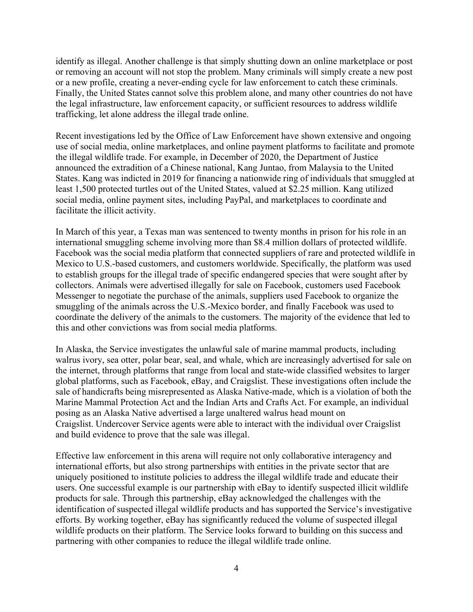identify as illegal. Another challenge is that simply shutting down an online marketplace or post or removing an account will not stop the problem. Many criminals will simply create a new post or a new profile, creating a never-ending cycle for law enforcement to catch these criminals. Finally, the United States cannot solve this problem alone, and many other countries do not have the legal infrastructure, law enforcement capacity, or sufficient resources to address wildlife trafficking, let alone address the illegal trade online.

Recent investigations led by the Office of Law Enforcement have shown extensive and ongoing use of social media, online marketplaces, and online payment platforms to facilitate and promote the illegal wildlife trade. For example, in December of 2020, the Department of Justice announced the extradition of a Chinese national, Kang Juntao, from Malaysia to the United States. Kang was indicted in 2019 for financing a nationwide ring of individuals that smuggled at least 1,500 protected turtles out of the United States, valued at \$2.25 million. Kang utilized social media, online payment sites, including PayPal, and marketplaces to coordinate and facilitate the illicit activity.

In March of this year, a Texas man was sentenced to twenty months in prison for his role in an international smuggling scheme involving more than \$8.4 million dollars of protected wildlife. Facebook was the social media platform that connected suppliers of rare and protected wildlife in Mexico to U.S.-based customers, and customers worldwide. Specifically, the platform was used to establish groups for the illegal trade of specific endangered species that were sought after by collectors. Animals were advertised illegally for sale on Facebook, customers used Facebook Messenger to negotiate the purchase of the animals, suppliers used Facebook to organize the smuggling of the animals across the U.S.-Mexico border, and finally Facebook was used to coordinate the delivery of the animals to the customers. The majority of the evidence that led to this and other convictions was from social media platforms.

In Alaska, the Service investigates the unlawful sale of marine mammal products, including walrus ivory, sea otter, polar bear, seal, and whale, which are increasingly advertised for sale on the internet, through platforms that range from local and state-wide classified websites to larger global platforms, such as Facebook, eBay, and Craigslist. These investigations often include the sale of handicrafts being misrepresented as Alaska Native-made, which is a violation of both the Marine Mammal Protection Act and the Indian Arts and Crafts Act. For example, an individual posing as an Alaska Native advertised a large unaltered walrus head mount on Craigslist. Undercover Service agents were able to interact with the individual over Craigslist and build evidence to prove that the sale was illegal.

Effective law enforcement in this arena will require not only collaborative interagency and international efforts, but also strong partnerships with entities in the private sector that are uniquely positioned to institute policies to address the illegal wildlife trade and educate their users. One successful example is our partnership with eBay to identify suspected illicit wildlife products for sale. Through this partnership, eBay acknowledged the challenges with the identification of suspected illegal wildlife products and has supported the Service's investigative efforts. By working together, eBay has significantly reduced the volume of suspected illegal wildlife products on their platform. The Service looks forward to building on this success and partnering with other companies to reduce the illegal wildlife trade online.